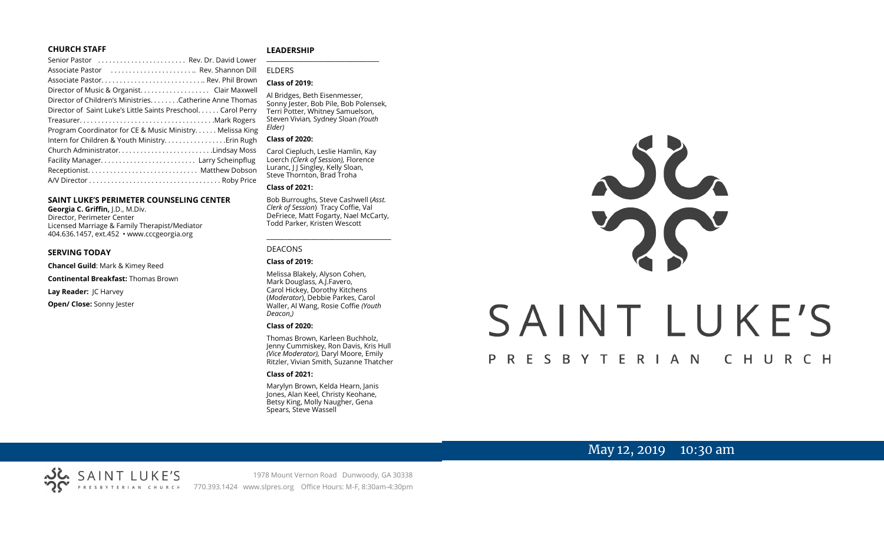## **CHURCH STAFF**

| Senior Pastor  Rev. Dr. David Lower                          |
|--------------------------------------------------------------|
| Associate Pastor  Rev. Shannon Dill                          |
|                                                              |
| Director of Music & Organist. Clair Maxwell                  |
| Director of Children's Ministries. Catherine Anne Thomas     |
| Director of Saint Luke's Little Saints Preschool Carol Perry |
|                                                              |
| Program Coordinator for CE & Music Ministry Melissa King     |
| Intern for Children & Youth Ministry Erin Rugh               |
| Church AdministratorLindsay Moss                             |
|                                                              |
|                                                              |
|                                                              |

### **SAINT LUKE'S PERIMETER COUNSELING CENTER**

**Georgia C. Griffin,** J.D., M.Div. Director, Perimeter Center Licensed Marriage & Family Therapist/Mediator 404.636.1457, ext.452 • www.cccgeorgia.org

#### **SERVING TODAY**

**Chancel Guild**: Mark & Kimey Reed

**Continental Breakfast:** Thomas Brown

**Lay Reader:** JC Harvey

**Open/ Close:** Sonny Jester

#### **LEADERSHIP**

## ELDERS

#### **Class of 2019:**

Al Bridges, Beth Eisenmesser, Sonny Jester, Bob Pile, Bob Polensek, Terri Potter, Whitney Samuelson, Steven Vivian*,* Sydney Sloan *(Youth Elder)*

**\_\_\_\_\_\_\_\_\_\_\_\_\_\_\_\_\_\_\_\_\_\_\_\_\_\_\_\_\_\_\_\_\_\_\_\_\_\_\_**

#### **Class of 2020:**

Carol Ciepluch, Leslie Hamlin, Kay Loerch *(Clerk of Session),* Florence Luranc, I J Singley, Kelly Sloan, Steve Thornton, Brad Troha

#### **Class of 2021:**

Bob Burroughs, Steve Cashwell (*Asst. Clerk of Session*) Tracy Coffie, Val DeFriece, Matt Fogarty, Nael McCarty, Todd Parker, Kristen Wescott

\_\_\_\_\_\_\_\_\_\_\_\_\_\_\_\_\_\_\_\_\_\_\_\_\_\_\_\_\_\_\_\_\_\_\_\_

## DEACONS

**Class of 2019:**

Melissa Blakely, Alyson Cohen, Mark Douglass, A.J.Favero, Carol Hickey, Dorothy Kitchens (*Moderator*), Debbie Parkes, Carol Waller, Al Wang, Rosie Coffie *(Youth Deacon,)* 

#### **Class of 2020:**

Thomas Brown, Karleen Buchholz, Jenny Cummiskey, Ron Davis, Kris Hull *(Vice Moderator),* Daryl Moore, Emily Ritzler, Vivian Smith, Suzanne Thatcher

#### **Class of 2021:**

Marylyn Brown, Kelda Hearn, Janis Jones, Alan Keel, Christy Keohane, Betsy King, Molly Naugher, Gena Spears, Steve Wassell



# May 12, 2019 10:30 am

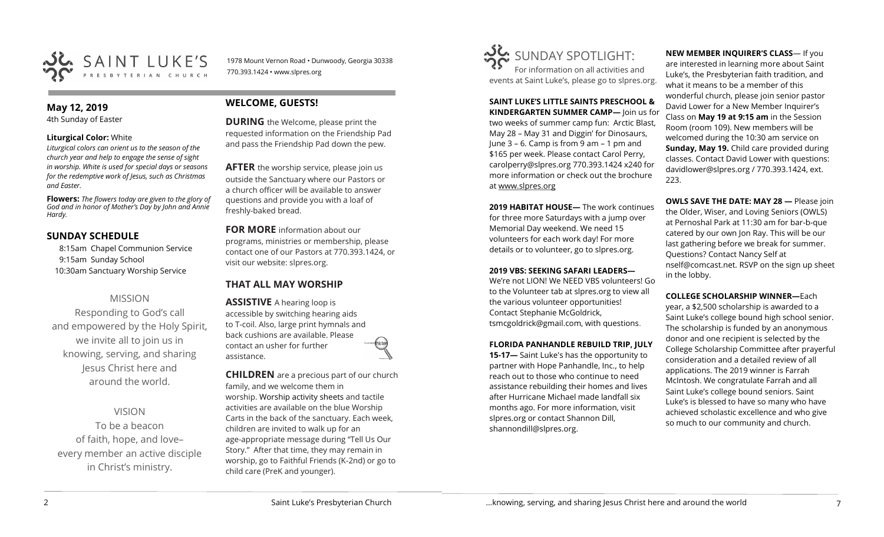

1978 Mount Vernon Road • Dunwoody, Georgia 30338 770.393.1424 • www.slpres.org

## **May 12, 2019**

4th Sunday of Easter

## **Liturgical Color:** White

*Liturgical colors can orient us to the season of the church year and help to engage the sense of sight in worship. White is used for special days or seasons for the redemptive work of Jesus, such as Christmas and Easter.*

**Flowers:** *The flowers today are given to the glory of God and in honor of Mother's Day by John and Annie Hardy.*

# **SUNDAY SCHEDULE**

8:15am Chapel Communion Service 9:15am Sunday School 10:30am Sanctuary Worship Service

# MISSION

Responding to God's call and empowered by the Holy Spirit, we invite all to join us in knowing, serving, and sharing Jesus Christ here and around the world.

VISION

To be a beacon of faith, hope, and love– every member an active disciple in Christ's ministry.

# **WELCOME, GUESTS!**

**DURING** the Welcome, please print the requested information on the Friendship Pad and pass the Friendship Pad down the pew.

**AFTER** the worship service, please join us outside the Sanctuary where our Pastors or a church officer will be available to answer questions and provide you with a loaf of freshly-baked bread.

**FOR MORE** information about our programs, ministries or membership, please contact one of our Pastors at 770.393.1424, or visit our website: slpres.org.

# **THAT ALL MAY WORSHIP**

**ASSISTIVE** A hearing loop is accessible by switching hearing aids to T-coil. Also, large print hymnals and back cushions are available. Please contact an usher for further assistance.

**CHILDREN** are a precious part of our church family, and we welcome them in worship. Worship activity sheets and tactile activities are available on the blue Worship Carts in the back of the sanctuary. Each week, children are invited to walk up for an age-appropriate message during "Tell Us Our Story." After that time, they may remain in worship, go to Faithful Friends (K-2nd) or go to child care (PreK and younger).



**SAINT LUKE'S LITTLE SAINTS PRESCHOOL & KINDERGARTEN SUMMER CAMP—** Join us for two weeks of summer camp fun: Arctic Blast, May 28 – May 31 and Diggin' for Dinosaurs, June 3 – 6. Camp is from 9 am – 1 pm and \$165 per week. Please contact Carol Perry, [carolperry@slpres.org](mailto:carolperry@slpres.org) 770.393.1424 x240 for more information or check out the brochure at [www.slpres.org](http://www.slpres.org)

**2019 HABITAT HOUSE—** The work continues for three more Saturdays with a jump over Memorial Day weekend. We need 15 volunteers for each work day! For more details or to volunteer, go to slpres.org.

## **2019 VBS: SEEKING SAFARI LEADERS—**

We're not LION! We NEED VBS volunteers! Go to the Volunteer tab at slpres.org to view all the various volunteer opportunities! Contact Stephanie McGoldrick, tsmcgoldrick@gmail.com, with questions.

## **FLORIDA PANHANDLE REBUILD TRIP, JULY**

**15-17—** Saint Luke's has the opportunity to partner with Hope Panhandle, Inc., to help reach out to those who continue to need assistance rebuilding their homes and lives after Hurricane Michael made landfall six months ago. For more information, visit slpres.org or contact Shannon Dill, shannondill@slpres.org.

**NEW MEMBER INQUIRER'S CLASS**— If you are interested in learning more about Saint Luke's, the Presbyterian faith tradition, and what it means to be a member of this wonderful church, please join senior pastor David Lower for a New Member Inquirer's Class on **May 19 at 9:15 am** in the Session Room (room 109). New members will be welcomed during the 10:30 am service on **Sunday, May 19.** Child care provided during classes. Contact David Lower with questions: davidlower@slpres.org / 770.393.1424, ext. 223.

**OWLS SAVE THE DATE: MAY 28 —** Please join the Older, Wiser, and Loving Seniors (OWLS) at Pernoshal Park at 11:30 am for bar-b-que catered by our own Jon Ray. This will be our last gathering before we break for summer. Questions? Contact Nancy Self at nself@comcast.net. RSVP on the sign up sheet in the lobby.

## **COLLEGE SCHOLARSHIP WINNER—**Each

year, a \$2,500 scholarship is awarded to a Saint Luke's college bound high school senior. The scholarship is funded by an anonymous donor and one recipient is selected by the College Scholarship Committee after prayerful consideration and a detailed review of all applications. The 2019 winner is Farrah McIntosh. We congratulate Farrah and all Saint Luke's college bound seniors. Saint Luke's is blessed to have so many who have achieved scholastic excellence and who give so much to our community and church.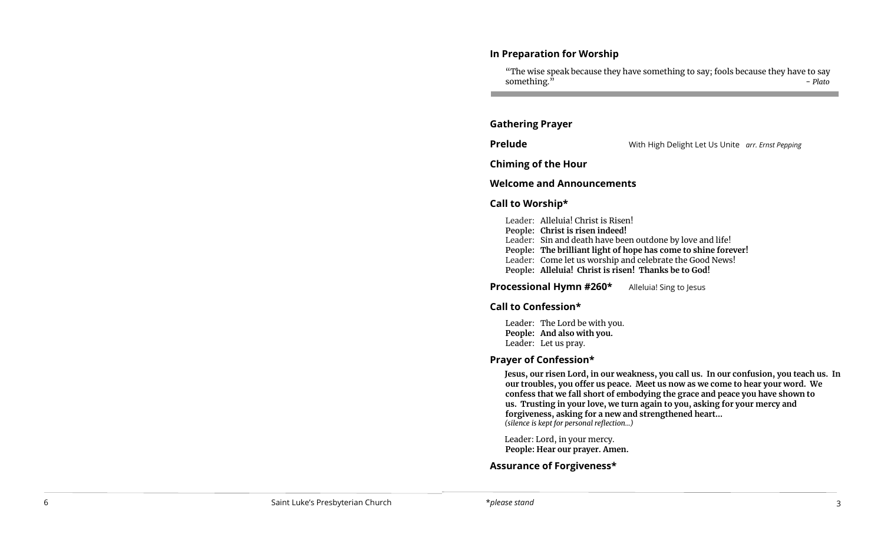# **In Preparation for Worship**

"The wise speak because they have something to say; fools because they have to say something.<sup>"</sup> - *Plato* 

# **Gathering Prayer**

**Prelude** With High Delight Let Us Unite *arr. Ernst Pepping* 

**Chiming of the Hour**

# **Welcome and Announcements**

# **Call to Worship\***

Leader: Alleluia! Christ is Risen! **People: Christ is risen indeed!** Leader: Sin and death have been outdone by love and life! **People: The brilliant light of hope has come to shine forever!** Leader: Come let us worship and celebrate the Good News! **People: Alleluia! Christ is risen! Thanks be to God!**

**Processional Hymn #260\*** Alleluia! Sing to Jesus

# **Call to Confession\***

Leader: The Lord be with you. **People: And also with you.**  Leader: Let us pray.

# **Prayer of Confession\***

**Jesus, our risen Lord, in our weakness, you call us. In our confusion, you teach us. In our troubles, you offer us peace. Meet us now as we come to hear your word. We confess that we fall short of embodying the grace and peace you have shown to us. Trusting in your love, we turn again to you, asking for your mercy and forgiveness, asking for a new and strengthened heart...** *(silence is kept for personal reflection...)*

Leader: Lord, in your mercy. **People: Hear our prayer. Amen.**

# **Assurance of Forgiveness\***